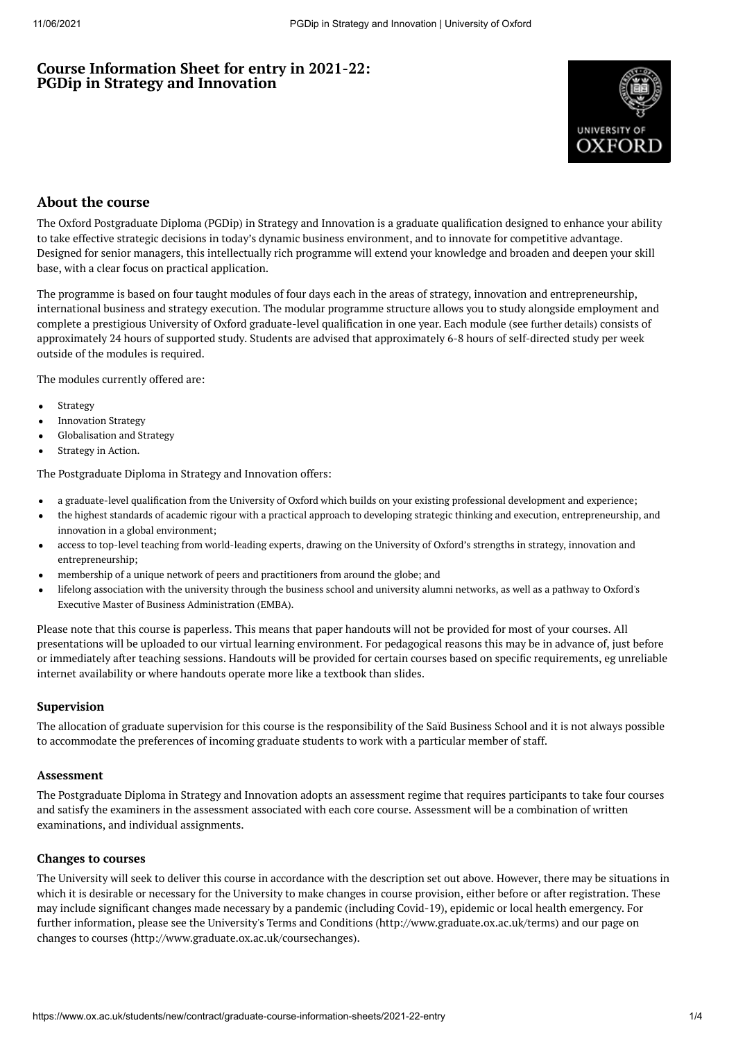# **Course Information Sheet for entry in 2021-22: PGDip in Strategy and Innovation**



# **About the course**

The Oxford Postgraduate Diploma (PGDip) in Strategy and Innovation is a graduate qualification designed to enhance your ability to take effective strategic decisions in today's dynamic business environment, and to innovate for competitive advantage. Designed for senior managers, this intellectually rich programme will extend your knowledge and broaden and deepen your skill base, with a clear focus on practical application.

The programme is based on four taught modules of four days each in the areas of strategy, innovation and entrepreneurship, international business and strategy execution. The modular programme structure allows you to study alongside employment and complete a prestigious University of Oxford graduate-level qualification in one year. Each module (see [further](https://www.sbs.ox.ac.uk/programmes/oxford-diploma-strategy-and-innovation/programme-outline) details) consists of approximately 24 hours of supported study. Students are advised that approximately 6-8 hours of self-directed study per week outside of the modules is required.

The modules currently offered are:

- Strategy
- Innovation Strategy
- Globalisation and Strategy
- Strategy in Action.

The Postgraduate Diploma in Strategy and Innovation offers:

- a graduate-level qualification from the University of Oxford which builds on your existing professional development and experience;
- the highest standards of academic rigour with a practical approach to developing strategic thinking and execution, entrepreneurship, and innovation in a global environment;
- access to top-level teaching from world-leading experts, drawing on the University of Oxford's strengths in strategy, innovation and entrepreneurship;
- membership of a unique network of peers and practitioners from around the globe; and
- lifelong association with the university through the business school and university alumni networks, as well as a pathway to Oxford's Executive Master of Business [Administration](https://www.ox.ac.uk/admissions/graduate/courses/executive-mba) (EMBA).

Please note that this course is paperless. This means that paper handouts will not be provided for most of your courses. All presentations will be uploaded to our virtual learning environment. For pedagogical reasons this may be in advance of, just before or immediately after teaching sessions. Handouts will be provided for certain courses based on specific requirements, eg unreliable internet availability or where handouts operate more like a textbook than slides.

#### **Supervision**

The allocation of graduate supervision for this course is the responsibility of the Saïd Business School and it is not always possible to accommodate the preferences of incoming graduate students to work with a particular member of staff.

#### **Assessment**

The Postgraduate Diploma in Strategy and Innovation adopts an assessment regime that requires participants to take four courses and satisfy the examiners in the assessment associated with each core course. Assessment will be a combination of written examinations, and individual assignments.

#### **Changes to courses**

The University will seek to deliver this course in accordance with the description set out above. However, there may be situations in which it is desirable or necessary for the University to make changes in course provision, either before or after registration. These may include significant changes made necessary by a pandemic (including Covid-19), epidemic or local health emergency. For further information, please see the University's Terms and Conditions (http://www.graduate.ox.ac.uk/terms) and our page on changes to courses (http://www.graduate.ox.ac.uk/coursechanges).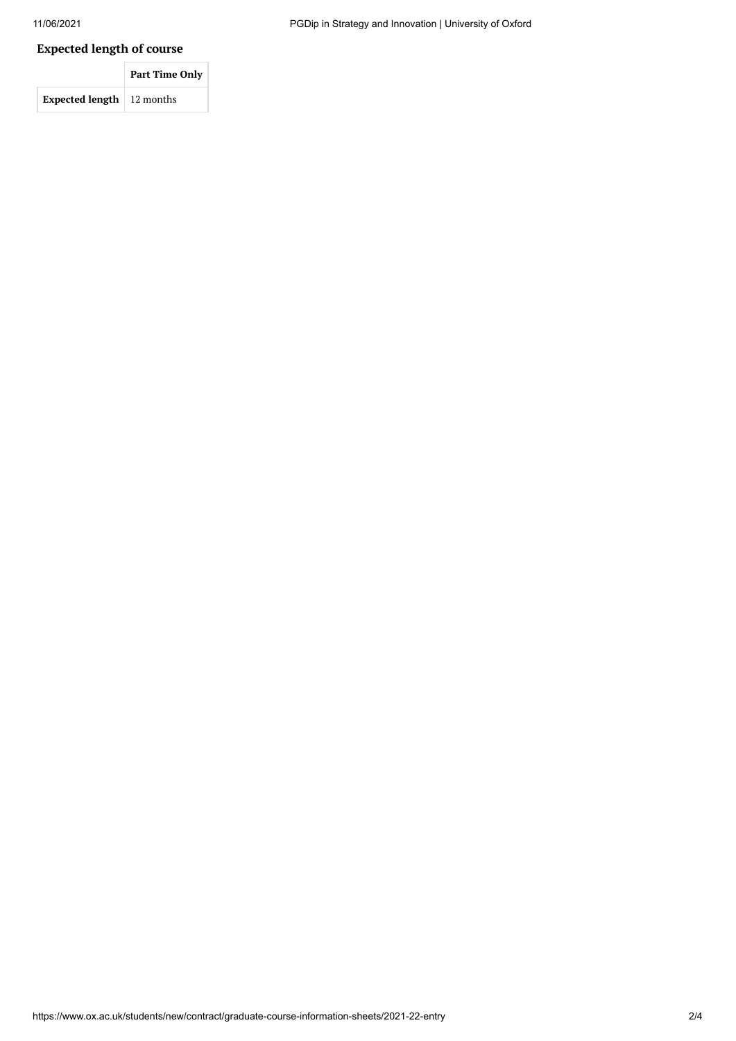# **Expected length of course**

|                                     | Part Time Only |
|-------------------------------------|----------------|
| <b>Expected length</b> $ 12$ months |                |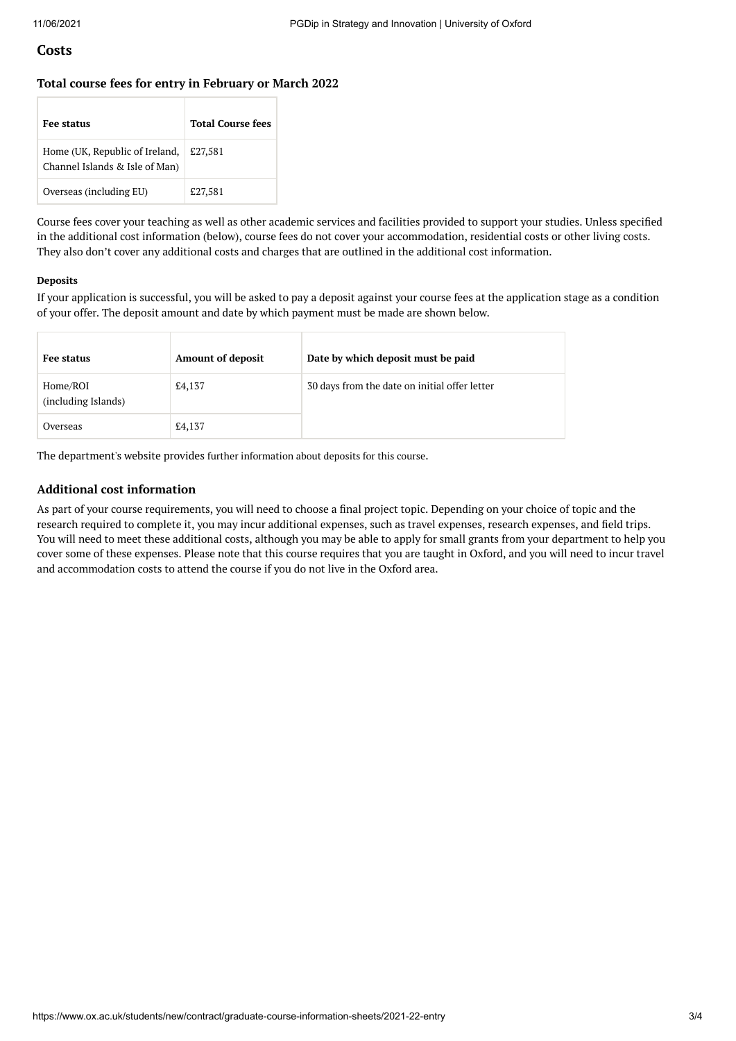### **Costs**

#### **Total course fees for entry in February or March 2022**

| <b>Fee status</b>                                                | <b>Total Course fees</b> |
|------------------------------------------------------------------|--------------------------|
| Home (UK, Republic of Ireland,<br>Channel Islands & Isle of Man) | £27,581                  |
| Overseas (including EU)                                          | £27,581                  |

Course fees cover your teaching as well as other academic services and facilities provided to support your studies. Unless specified in the additional cost information (below), course fees do not cover your accommodation, residential costs or other living costs. They also don't cover any additional costs and charges that are outlined in the additional cost information.

#### **Deposits**

If your application is successful, you will be asked to pay a deposit against your course fees at the application stage as a condition of your offer. The deposit amount and date by which payment must be made are shown below.

| Fee status                      | <b>Amount of deposit</b> | Date by which deposit must be paid            |
|---------------------------------|--------------------------|-----------------------------------------------|
| Home/ROI<br>(including Islands) | £4,137                   | 30 days from the date on initial offer letter |
| Overseas                        | £4,137                   |                                               |

The department's website provides further [information](https://www.sbs.ox.ac.uk/programmes/degrees/dol/how-apply) about deposits for this course.

#### **Additional cost information**

As part of your course requirements, you will need to choose a final project topic. Depending on your choice of topic and the research required to complete it, you may incur additional expenses, such as travel expenses, research expenses, and field trips. You will need to meet these additional costs, although you may be able to apply for small grants from your department to help you cover some of these expenses. Please note that this course requires that you are taught in Oxford, and you will need to incur travel and accommodation costs to attend the course if you do not live in the Oxford area.